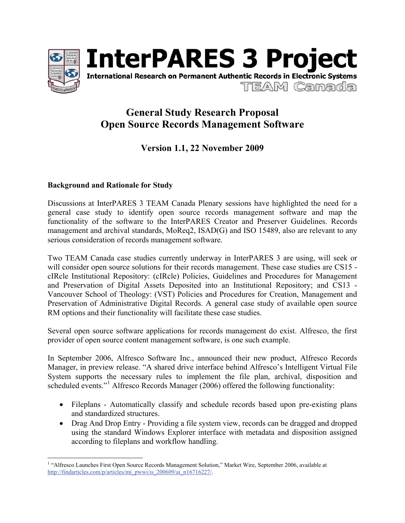



# **General Study Research Proposal Open Source Records Management Software**

## **Version 1.1, 22 November 2009**

### **Background and Rationale for Study**

Discussions at InterPARES 3 TEAM Canada Plenary sessions have highlighted the need for a general case study to identify open source records management software and map the functionality of the software to the InterPARES Creator and Preserver Guidelines. Records management and archival standards, MoReq2, ISAD(G) and ISO 15489, also are relevant to any serious consideration of records management software.

Two TEAM Canada case studies currently underway in InterPARES 3 are using, will seek or will consider open source solutions for their records management. These case studies are CS15 cIRcle Institutional Repository: (cIRcle) Policies, Guidelines and Procedures for Management and Preservation of Digital Assets Deposited into an Institutional Repository; and CS13 - Vancouver School of Theology: (VST) Policies and Procedures for Creation, Management and Preservation of Administrative Digital Records. A general case study of available open source RM options and their functionality will facilitate these case studies.

Several open source software applications for records management do exist. Alfresco, the first provider of open source content management software, is one such example.

In September 2006, Alfresco Software Inc., announced their new product, Alfresco Records Manager, in preview release. "A shared drive interface behind Alfresco's Intelligent Virtual File System supports the necessary rules to implement the file plan, archival, disposition and scheduled events."<sup>1</sup> Alfresco Records Manager (2006) offered the following functionality:

- Fileplans Automatically classify and schedule records based upon pre-existing plans and standardized structures.
- Drag And Drop Entry Providing a file system view, records can be dragged and dropped using the standard Windows Explorer interface with metadata and disposition assigned according to fileplans and workflow handling.

<sup>&</sup>lt;sup>1</sup> "Alfresco Launches First Open Source Records Management Solution," Market Wire, September 2006, available at http://findarticles.com/p/articles/mi\_pwwi/is\_200609/ai\_n16716227/.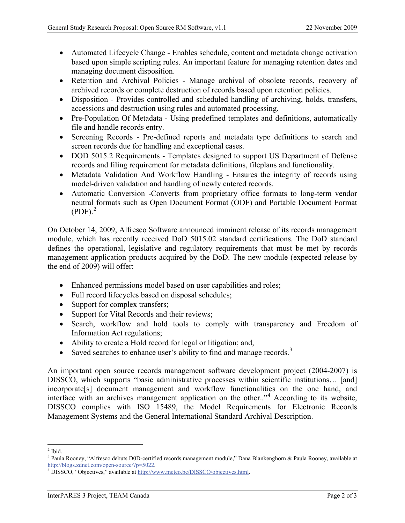- Automated Lifecycle Change Enables schedule, content and metadata change activation based upon simple scripting rules. An important feature for managing retention dates and managing document disposition.
- Retention and Archival Policies Manage archival of obsolete records, recovery of archived records or complete destruction of records based upon retention policies.
- Disposition Provides controlled and scheduled handling of archiving, holds, transfers, accessions and destruction using rules and automated processing.
- Pre-Population Of Metadata Using predefined templates and definitions, automatically file and handle records entry.
- Screening Records Pre-defined reports and metadata type definitions to search and screen records due for handling and exceptional cases.
- DOD 5015.2 Requirements Templates designed to support US Department of Defense records and filing requirement for metadata definitions, fileplans and functionality.
- Metadata Validation And Workflow Handling Ensures the integrity of records using model-driven validation and handling of newly entered records.
- Automatic Conversion -Converts from proprietary office formats to long-term vendor neutral formats such as Open Document Format (ODF) and Portable Document Format  $(PDF)<sup>2</sup>$

On October 14, 2009, Alfresco Software announced imminent release of its records management module, which has recently received DoD 5015.02 standard certifications. The DoD standard defines the operational, legislative and regulatory requirements that must be met by records management application products acquired by the DoD. The new module (expected release by the end of 2009) will offer:

- Enhanced permissions model based on user capabilities and roles;
- Full record lifecycles based on disposal schedules;
- Support for complex transfers;
- Support for Vital Records and their reviews;
- Search, workflow and hold tools to comply with transparency and Freedom of Information Act regulations;
- Ability to create a Hold record for legal or litigation; and,
- Saved searches to enhance user's ability to find and manage records.<sup>3</sup>

An important open source records management software development project (2004-2007) is DISSCO, which supports "basic administrative processes within scientific institutions… [and] incorporate[s] document management and workflow functionalities on the one hand, and interface with an archives management application on the other.."<sup>4</sup> According to its website, DISSCO complies with ISO 15489, the Model Requirements for Electronic Records Management Systems and the General International Standard Archival Description.

 $^2$  Ibid.

<sup>&</sup>lt;sup>3</sup> Paula Rooney, "Alfresco debuts D0D-certified records management module," Dana Blankenghorn & Paula Rooney, available at http://blogs.zdnet.com/open-source/?p=5022.<br><sup>4</sup> DISSCO, "Objectives," available at http://www.meteo.be/DISSCO/objectives.html.